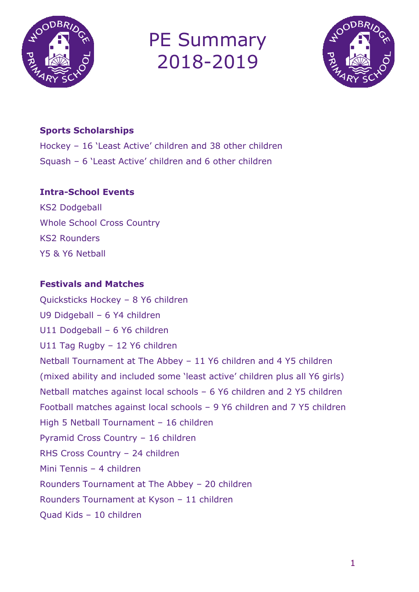

# PE Summary 2018-2019



## **Sports Scholarships**

Hockey – 16 'Least Active' children and 38 other children Squash – 6 'Least Active' children and 6 other children

#### **Intra-School Events**

KS2 Dodgeball Whole School Cross Country KS2 Rounders Y5 & Y6 Netball

### **Festivals and Matches**

Quicksticks Hockey – 8 Y6 children U9 Didgeball – 6 Y4 children U11 Dodgeball – 6 Y6 children U11 Tag Rugby – 12 Y6 children Netball Tournament at The Abbey – 11 Y6 children and 4 Y5 children (mixed ability and included some 'least active' children plus all Y6 girls) Netball matches against local schools – 6 Y6 children and 2 Y5 children Football matches against local schools – 9 Y6 children and 7 Y5 children High 5 Netball Tournament – 16 children Pyramid Cross Country – 16 children RHS Cross Country – 24 children Mini Tennis – 4 children Rounders Tournament at The Abbey – 20 children Rounders Tournament at Kyson – 11 children Quad Kids – 10 children